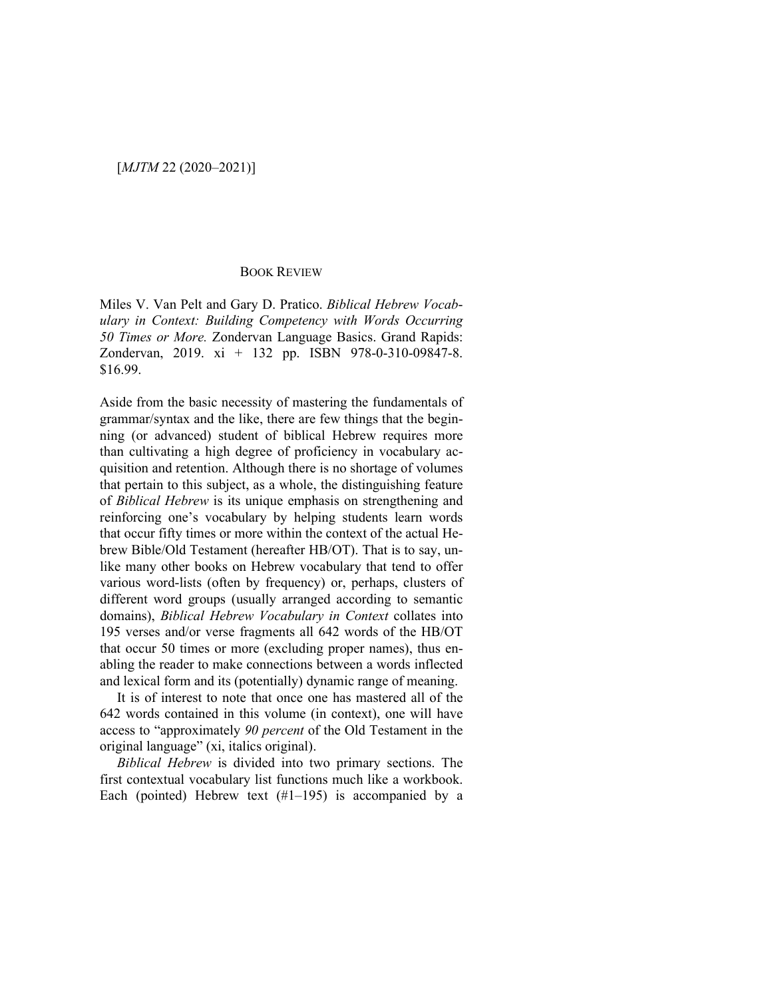## BOOK REVIEW

Miles V. Van Pelt and Gary D. Pratico. *Biblical Hebrew Vocabulary in Context: Building Competency with Words Occurring 50 Times or More.* Zondervan Language Basics. Grand Rapids: Zondervan, 2019. xi + 132 pp. ISBN 978-0-310-09847-8. \$16.99.

Aside from the basic necessity of mastering the fundamentals of grammar/syntax and the like, there are few things that the beginning (or advanced) student of biblical Hebrew requires more than cultivating a high degree of proficiency in vocabulary acquisition and retention. Although there is no shortage of volumes that pertain to this subject, as a whole, the distinguishing feature of *Biblical Hebrew* is its unique emphasis on strengthening and reinforcing one's vocabulary by helping students learn words that occur fifty times or more within the context of the actual Hebrew Bible/Old Testament (hereafter HB/OT). That is to say, unlike many other books on Hebrew vocabulary that tend to offer various word-lists (often by frequency) or, perhaps, clusters of different word groups (usually arranged according to semantic domains), *Biblical Hebrew Vocabulary in Context* collates into 195 verses and/or verse fragments all 642 words of the HB/OT that occur 50 times or more (excluding proper names), thus enabling the reader to make connections between a words inflected and lexical form and its (potentially) dynamic range of meaning.

It is of interest to note that once one has mastered all of the 642 words contained in this volume (in context), one will have access to "approximately *90 percent* of the Old Testament in the original language" (xi, italics original).

*Biblical Hebrew* is divided into two primary sections. The first contextual vocabulary list functions much like a workbook. Each (pointed) Hebrew text  $(\#1-195)$  is accompanied by a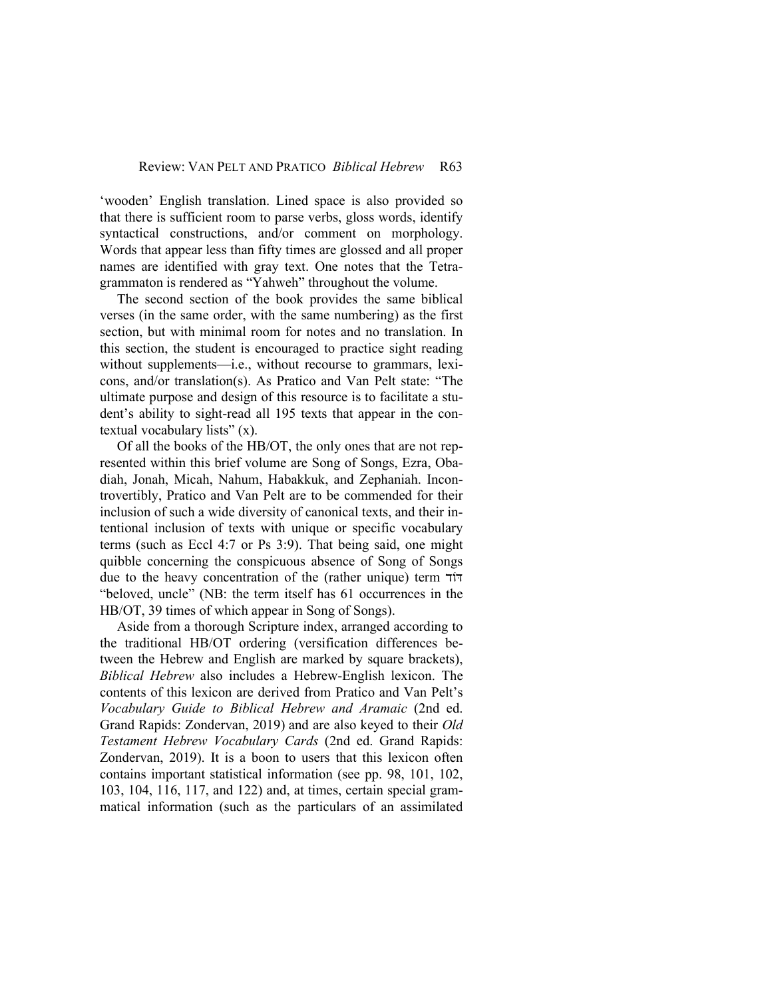'wooden' English translation. Lined space is also provided so that there is sufficient room to parse verbs, gloss words, identify syntactical constructions, and/or comment on morphology. Words that appear less than fifty times are glossed and all proper names are identified with gray text. One notes that the Tetragrammaton is rendered as "Yahweh" throughout the volume.

The second section of the book provides the same biblical verses (in the same order, with the same numbering) as the first section, but with minimal room for notes and no translation. In this section, the student is encouraged to practice sight reading without supplements—i.e., without recourse to grammars, lexicons, and/or translation(s). As Pratico and Van Pelt state: "The ultimate purpose and design of this resource is to facilitate a student's ability to sight-read all 195 texts that appear in the contextual vocabulary lists" (x).

Of all the books of the HB/OT, the only ones that are not represented within this brief volume are Song of Songs, Ezra, Obadiah, Jonah, Micah, Nahum, Habakkuk, and Zephaniah. Incontrovertibly, Pratico and Van Pelt are to be commended for their inclusion of such a wide diversity of canonical texts, and their intentional inclusion of texts with unique or specific vocabulary terms (such as Eccl 4:7 or Ps 3:9). That being said, one might quibble concerning the conspicuous absence of Song of Songs due to the heavy concentration of the (rather unique) term דּוֹד "beloved, uncle" (NB: the term itself has 61 occurrences in the HB/OT, 39 times of which appear in Song of Songs).

Aside from a thorough Scripture index, arranged according to the traditional HB/OT ordering (versification differences between the Hebrew and English are marked by square brackets), *Biblical Hebrew* also includes a Hebrew-English lexicon. The contents of this lexicon are derived from Pratico and Van Pelt's *Vocabulary Guide to Biblical Hebrew and Aramaic* (2nd ed. Grand Rapids: Zondervan, 2019) and are also keyed to their *Old Testament Hebrew Vocabulary Cards* (2nd ed. Grand Rapids: Zondervan, 2019). It is a boon to users that this lexicon often contains important statistical information (see pp. 98, 101, 102, 103, 104, 116, 117, and 122) and, at times, certain special grammatical information (such as the particulars of an assimilated